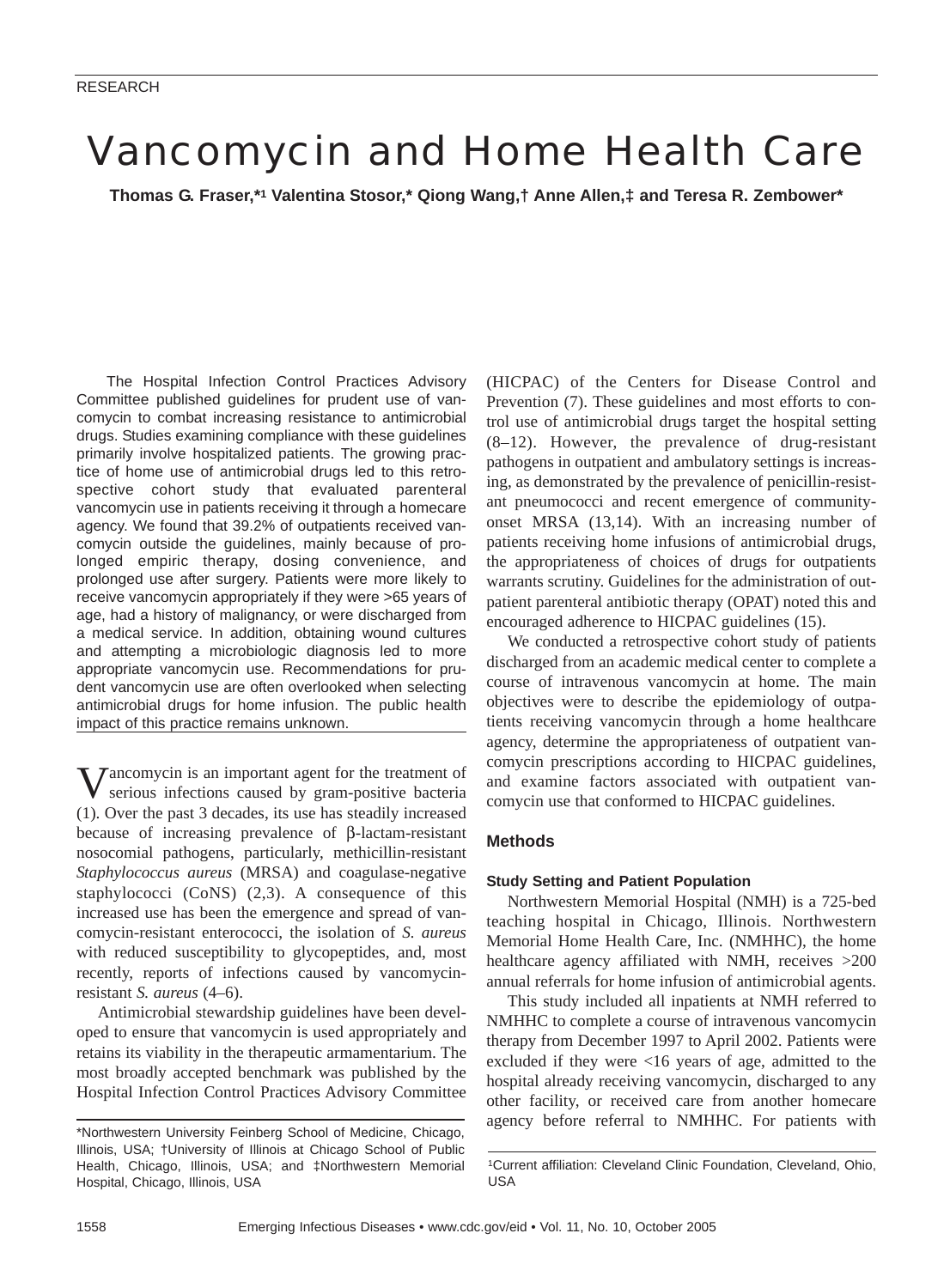# Vancomycin and Home Health Care

**Thomas G. Fraser,\*1 Valentina Stosor,\* Qiong Wang,† Anne Allen,‡ and Teresa R. Zembower\***

The Hospital Infection Control Practices Advisory Committee published guidelines for prudent use of vancomycin to combat increasing resistance to antimicrobial drugs. Studies examining compliance with these guidelines primarily involve hospitalized patients. The growing practice of home use of antimicrobial drugs led to this retrospective cohort study that evaluated parenteral vancomycin use in patients receiving it through a homecare agency. We found that 39.2% of outpatients received vancomycin outside the guidelines, mainly because of prolonged empiric therapy, dosing convenience, and prolonged use after surgery. Patients were more likely to receive vancomycin appropriately if they were >65 years of age, had a history of malignancy, or were discharged from a medical service. In addition, obtaining wound cultures and attempting a microbiologic diagnosis led to more appropriate vancomycin use. Recommendations for prudent vancomycin use are often overlooked when selecting antimicrobial drugs for home infusion. The public health impact of this practice remains unknown.

Vancomycin is an important agent for the treatment of serious infections caused by gram-positive bacteria (1). Over the past 3 decades, its use has steadily increased because of increasing prevalence of β-lactam-resistant nosocomial pathogens, particularly, methicillin-resistant *Staphylococcus aureus* (MRSA) and coagulase-negative staphylococci (CoNS) (2,3). A consequence of this increased use has been the emergence and spread of vancomycin-resistant enterococci, the isolation of *S. aureus* with reduced susceptibility to glycopeptides, and, most recently, reports of infections caused by vancomycinresistant *S. aureus* (4–6).

Antimicrobial stewardship guidelines have been developed to ensure that vancomycin is used appropriately and retains its viability in the therapeutic armamentarium. The most broadly accepted benchmark was published by the Hospital Infection Control Practices Advisory Committee

(HICPAC) of the Centers for Disease Control and Prevention (7). These guidelines and most efforts to control use of antimicrobial drugs target the hospital setting (8–12). However, the prevalence of drug-resistant pathogens in outpatient and ambulatory settings is increasing, as demonstrated by the prevalence of penicillin-resistant pneumococci and recent emergence of communityonset MRSA (13,14). With an increasing number of patients receiving home infusions of antimicrobial drugs, the appropriateness of choices of drugs for outpatients warrants scrutiny. Guidelines for the administration of outpatient parenteral antibiotic therapy (OPAT) noted this and encouraged adherence to HICPAC guidelines (15).

We conducted a retrospective cohort study of patients discharged from an academic medical center to complete a course of intravenous vancomycin at home. The main objectives were to describe the epidemiology of outpatients receiving vancomycin through a home healthcare agency, determine the appropriateness of outpatient vancomycin prescriptions according to HICPAC guidelines, and examine factors associated with outpatient vancomycin use that conformed to HICPAC guidelines.

# **Methods**

# **Study Setting and Patient Population**

Northwestern Memorial Hospital (NMH) is a 725-bed teaching hospital in Chicago, Illinois. Northwestern Memorial Home Health Care, Inc. (NMHHC), the home healthcare agency affiliated with NMH, receives >200 annual referrals for home infusion of antimicrobial agents.

This study included all inpatients at NMH referred to NMHHC to complete a course of intravenous vancomycin therapy from December 1997 to April 2002. Patients were excluded if they were <16 years of age, admitted to the hospital already receiving vancomycin, discharged to any other facility, or received care from another homecare agency before referral to NMHHC. For patients with

<sup>\*</sup>Northwestern University Feinberg School of Medicine, Chicago, Illinois, USA; †University of Illinois at Chicago School of Public Health, Chicago, Illinois, USA; and ‡Northwestern Memorial Hospital, Chicago, Illinois, USA

<sup>1</sup>Current affiliation: Cleveland Clinic Foundation, Cleveland, Ohio, USA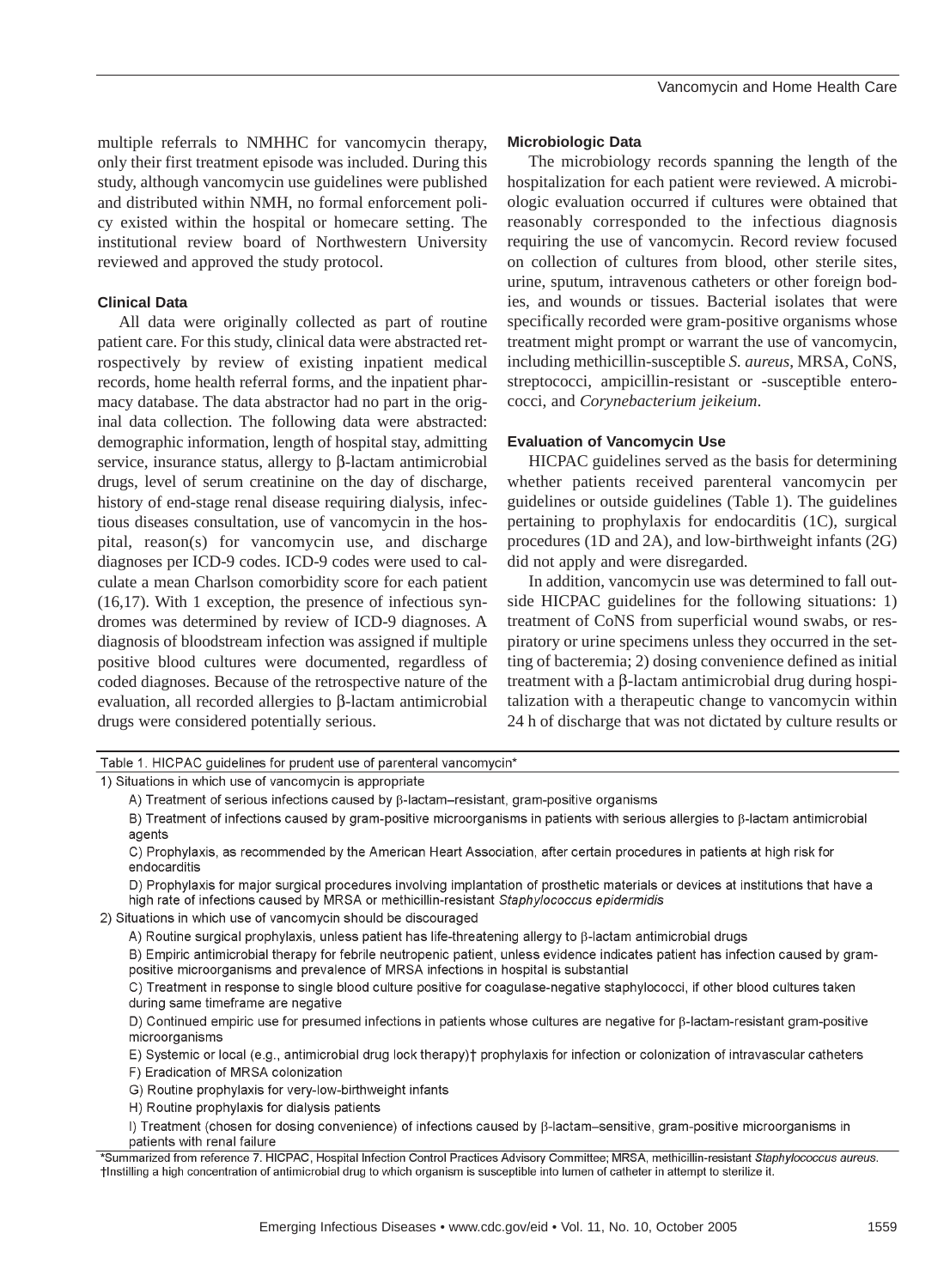multiple referrals to NMHHC for vancomycin therapy, only their first treatment episode was included. During this study, although vancomycin use guidelines were published and distributed within NMH, no formal enforcement policy existed within the hospital or homecare setting. The institutional review board of Northwestern University reviewed and approved the study protocol.

# **Clinical Data**

All data were originally collected as part of routine patient care. For this study, clinical data were abstracted retrospectively by review of existing inpatient medical records, home health referral forms, and the inpatient pharmacy database. The data abstractor had no part in the original data collection. The following data were abstracted: demographic information, length of hospital stay, admitting service, insurance status, allergy to β-lactam antimicrobial drugs, level of serum creatinine on the day of discharge, history of end-stage renal disease requiring dialysis, infectious diseases consultation, use of vancomycin in the hospital, reason(s) for vancomycin use, and discharge diagnoses per ICD-9 codes. ICD-9 codes were used to calculate a mean Charlson comorbidity score for each patient (16,17). With 1 exception, the presence of infectious syndromes was determined by review of ICD-9 diagnoses. A diagnosis of bloodstream infection was assigned if multiple positive blood cultures were documented, regardless of coded diagnoses. Because of the retrospective nature of the evaluation, all recorded allergies to β-lactam antimicrobial drugs were considered potentially serious.

# **Microbiologic Data**

The microbiology records spanning the length of the hospitalization for each patient were reviewed. A microbiologic evaluation occurred if cultures were obtained that reasonably corresponded to the infectious diagnosis requiring the use of vancomycin. Record review focused on collection of cultures from blood, other sterile sites, urine, sputum, intravenous catheters or other foreign bodies, and wounds or tissues. Bacterial isolates that were specifically recorded were gram-positive organisms whose treatment might prompt or warrant the use of vancomycin, including methicillin-susceptible *S. aureus*, MRSA, CoNS, streptococci, ampicillin-resistant or -susceptible enterococci, and *Corynebacterium jeikeium*.

# **Evaluation of Vancomycin Use**

HICPAC guidelines served as the basis for determining whether patients received parenteral vancomycin per guidelines or outside guidelines (Table 1). The guidelines pertaining to prophylaxis for endocarditis (1C), surgical procedures (1D and 2A), and low-birthweight infants (2G) did not apply and were disregarded.

In addition, vancomycin use was determined to fall outside HICPAC guidelines for the following situations: 1) treatment of CoNS from superficial wound swabs, or respiratory or urine specimens unless they occurred in the setting of bacteremia; 2) dosing convenience defined as initial treatment with a β-lactam antimicrobial drug during hospitalization with a therapeutic change to vancomycin within 24 h of discharge that was not dictated by culture results or

- 1) Situations in which use of vancomycin is appropriate
	- A) Treatment of serious infections caused by B-lactam-resistant, gram-positive organisms
	- B) Treatment of infections caused by gram-positive microorganisms in patients with serious allergies to  $\beta$ -lactam antimicrobial agents
	- C) Prophylaxis, as recommended by the American Heart Association, after certain procedures in patients at high risk for endocarditis
	- D) Prophylaxis for major surgical procedures involving implantation of prosthetic materials or devices at institutions that have a high rate of infections caused by MRSA or methicillin-resistant Staphylococcus epidermidis
- 2) Situations in which use of vancomycin should be discouraged
	- A) Routine surgical prophylaxis, unless patient has life-threatening allergy to  $\beta$ -lactam antimicrobial drugs
	- B) Empiric antimicrobial therapy for febrile neutropenic patient, unless evidence indicates patient has infection caused by grampositive microorganisms and prevalence of MRSA infections in hospital is substantial
	- C) Treatment in response to single blood culture positive for coagulase-negative staphylococci, if other blood cultures taken during same timeframe are negative
	- D) Continued empiric use for presumed infections in patients whose cultures are negative for  $\beta$ -lactam-resistant gram-positive microorganisms
	- E) Systemic or local (e.g., antimicrobial drug lock therapy)† prophylaxis for infection or colonization of intravascular catheters
	- F) Eradication of MRSA colonization G) Routine prophylaxis for very-low-birthweight infants
	- H) Routine prophylaxis for dialysis patients
	- I) Treatment (chosen for dosing convenience) of infections caused by  $\beta$ -lactam-sensitive, gram-positive microorganisms in patients with renal failure
- \*Summarized from reference 7. HICPAC, Hospital Infection Control Practices Advisory Committee; MRSA, methicillin-resistant Staphylococcus aureus. †Instilling a high concentration of antimicrobial drug to which organism is susceptible into lumen of catheter in attempt to sterilize it.

Table 1. HICPAC guidelines for prudent use of parenteral vancomycin\*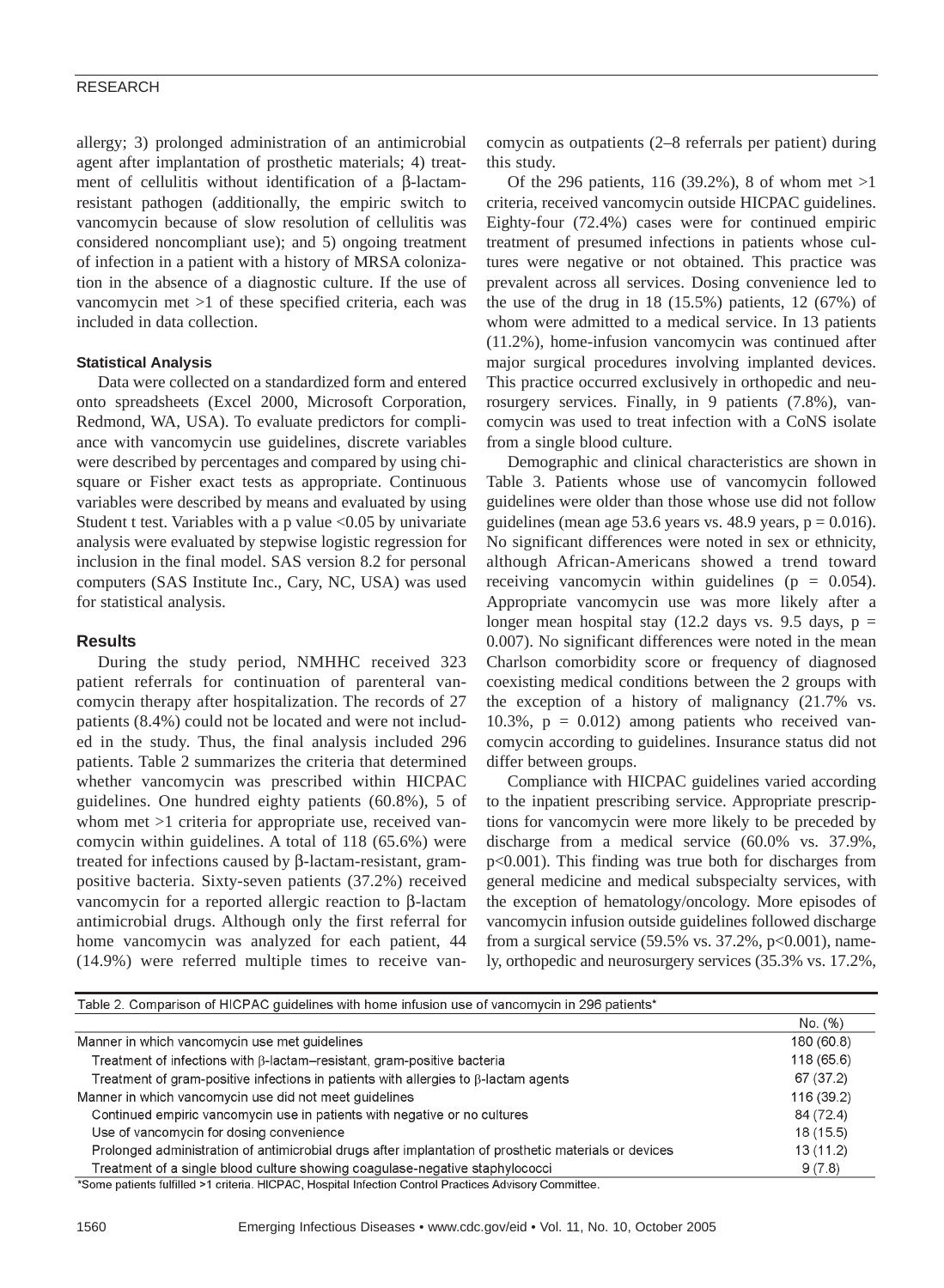#### RESEARCH

allergy; 3) prolonged administration of an antimicrobial agent after implantation of prosthetic materials; 4) treatment of cellulitis without identification of a β-lactamresistant pathogen (additionally, the empiric switch to vancomycin because of slow resolution of cellulitis was considered noncompliant use); and 5) ongoing treatment of infection in a patient with a history of MRSA colonization in the absence of a diagnostic culture. If the use of vancomycin met >1 of these specified criteria, each was included in data collection.

#### **Statistical Analysis**

Data were collected on a standardized form and entered onto spreadsheets (Excel 2000, Microsoft Corporation, Redmond, WA, USA). To evaluate predictors for compliance with vancomycin use guidelines, discrete variables were described by percentages and compared by using chisquare or Fisher exact tests as appropriate. Continuous variables were described by means and evaluated by using Student t test. Variables with a p value  $\leq 0.05$  by univariate analysis were evaluated by stepwise logistic regression for inclusion in the final model. SAS version 8.2 for personal computers (SAS Institute Inc., Cary, NC, USA) was used for statistical analysis.

#### **Results**

During the study period, NMHHC received 323 patient referrals for continuation of parenteral vancomycin therapy after hospitalization. The records of 27 patients (8.4%) could not be located and were not included in the study. Thus, the final analysis included 296 patients. Table 2 summarizes the criteria that determined whether vancomycin was prescribed within HICPAC guidelines. One hundred eighty patients (60.8%), 5 of whom met >1 criteria for appropriate use, received vancomycin within guidelines. A total of 118 (65.6%) were treated for infections caused by β-lactam-resistant, grampositive bacteria. Sixty-seven patients (37.2%) received vancomycin for a reported allergic reaction to β-lactam antimicrobial drugs. Although only the first referral for home vancomycin was analyzed for each patient, 44 (14.9%) were referred multiple times to receive vancomycin as outpatients (2–8 referrals per patient) during this study.

Of the 296 patients, 116 (39.2%), 8 of whom met  $>1$ criteria, received vancomycin outside HICPAC guidelines. Eighty-four (72.4%) cases were for continued empiric treatment of presumed infections in patients whose cultures were negative or not obtained. This practice was prevalent across all services. Dosing convenience led to the use of the drug in  $18$  (15.5%) patients,  $12$  (67%) of whom were admitted to a medical service. In 13 patients (11.2%), home-infusion vancomycin was continued after major surgical procedures involving implanted devices. This practice occurred exclusively in orthopedic and neurosurgery services. Finally, in 9 patients (7.8%), vancomycin was used to treat infection with a CoNS isolate from a single blood culture.

Demographic and clinical characteristics are shown in Table 3. Patients whose use of vancomycin followed guidelines were older than those whose use did not follow guidelines (mean age 53.6 years vs. 48.9 years,  $p = 0.016$ ). No significant differences were noted in sex or ethnicity, although African-Americans showed a trend toward receiving vancomycin within guidelines ( $p = 0.054$ ). Appropriate vancomycin use was more likely after a longer mean hospital stay (12.2 days vs. 9.5 days,  $p =$ 0.007). No significant differences were noted in the mean Charlson comorbidity score or frequency of diagnosed coexisting medical conditions between the 2 groups with the exception of a history of malignancy (21.7% vs. 10.3%,  $p = 0.012$ ) among patients who received vancomycin according to guidelines. Insurance status did not differ between groups.

Compliance with HICPAC guidelines varied according to the inpatient prescribing service. Appropriate prescriptions for vancomycin were more likely to be preceded by discharge from a medical service (60.0% vs. 37.9%, p<0.001). This finding was true both for discharges from general medicine and medical subspecialty services, with the exception of hematology/oncology. More episodes of vancomycin infusion outside guidelines followed discharge from a surgical service (59.5% vs. 37.2%, p<0.001), namely, orthopedic and neurosurgery services (35.3% vs. 17.2%,

| Table 2. Comparison of HICPAC guidelines with home infusion use of vancomycin in 296 patients*        |            |
|-------------------------------------------------------------------------------------------------------|------------|
|                                                                                                       | No. (%)    |
| Manner in which vancomycin use met guidelines                                                         | 180 (60.8) |
| Treatment of infections with $\beta$ -lactam-resistant, gram-positive bacteria                        | 118 (65.6) |
| Treatment of gram-positive infections in patients with allergies to $\beta$ -lactam agents            | 67 (37.2)  |
| Manner in which vancomycin use did not meet guidelines                                                | 116 (39.2) |
| Continued empiric vancomycin use in patients with negative or no cultures                             | 84 (72.4)  |
| Use of vancomycin for dosing convenience                                                              | 18 (15.5)  |
| Prolonged administration of antimicrobial drugs after implantation of prosthetic materials or devices | 13(11.2)   |
| Treatment of a single blood culture showing coagulase-negative staphylococci                          | 9(7.8)     |

\*Some patients fulfilled >1 criteria. HICPAC, Hospital Infection Control Practices Advisory Committee.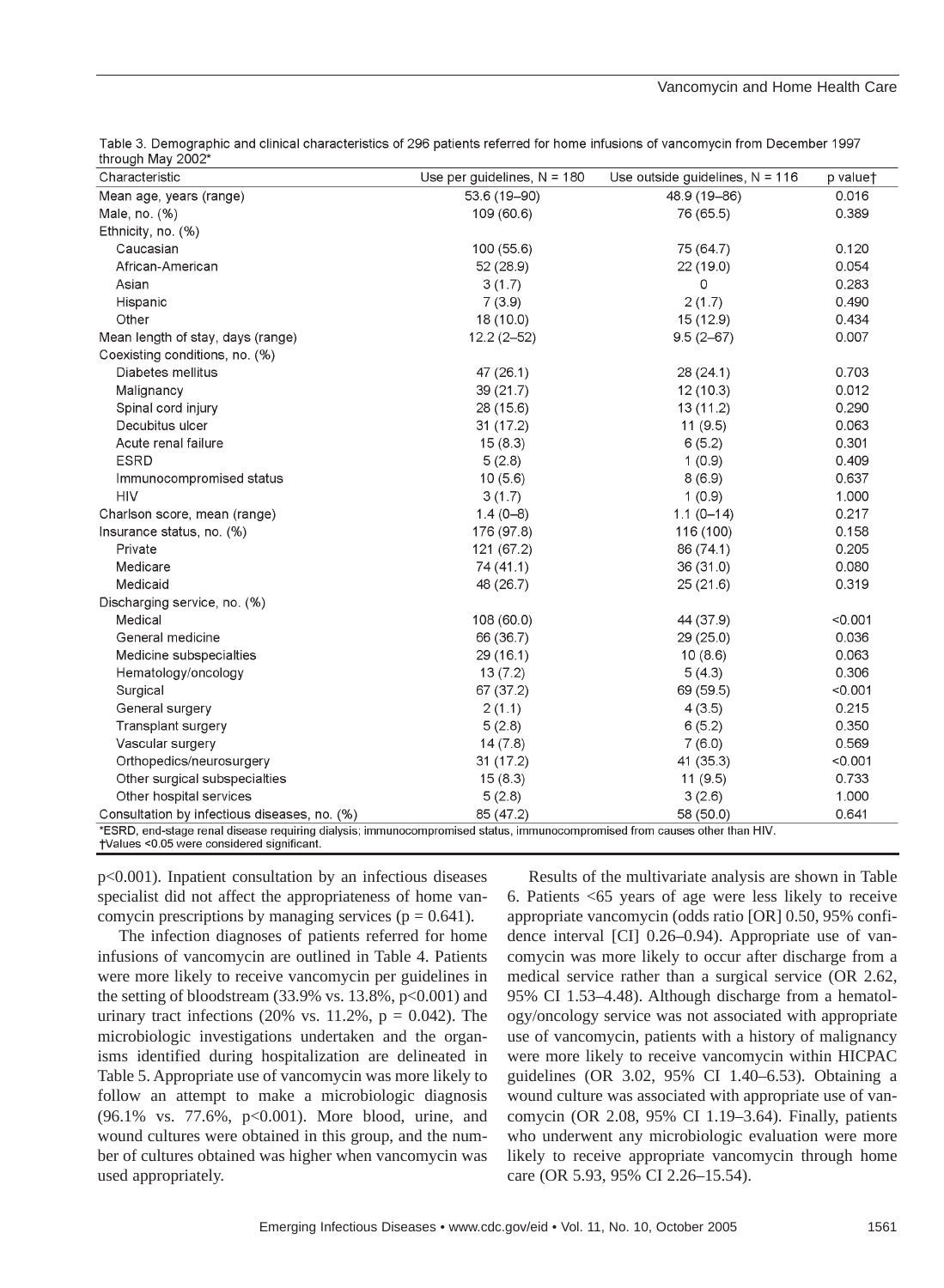| Characteristic                                                                                                             | Use per guidelines, $N = 180$ | Use outside guidelines, $N = 116$ | p value† |
|----------------------------------------------------------------------------------------------------------------------------|-------------------------------|-----------------------------------|----------|
| Mean age, years (range)                                                                                                    | 53.6 (19-90)                  | 48.9 (19-86)                      | 0.016    |
| Male, no. (%)                                                                                                              | 109 (60.6)                    | 76 (65.5)                         | 0.389    |
| Ethnicity, no. (%)                                                                                                         |                               |                                   |          |
| Caucasian                                                                                                                  | 100 (55.6)                    | 75 (64.7)                         | 0.120    |
| African-American                                                                                                           | 52(28.9)                      | 22 (19.0)                         | 0.054    |
| Asian                                                                                                                      | 3(1.7)                        | 0                                 | 0.283    |
| Hispanic                                                                                                                   | 7(3.9)                        | 2(1.7)                            | 0.490    |
| Other                                                                                                                      | 18(10.0)                      | 15(12.9)                          | 0.434    |
| Mean length of stay, days (range)                                                                                          | $12.2(2 - 52)$                | $9.5(2 - 67)$                     | 0.007    |
| Coexisting conditions, no. (%)                                                                                             |                               |                                   |          |
| Diabetes mellitus                                                                                                          | 47 (26.1)                     | 28(24.1)                          | 0.703    |
| Malignancy                                                                                                                 | 39(21.7)                      | 12(10.3)                          | 0.012    |
| Spinal cord injury                                                                                                         | 28(15.6)                      | 13(11.2)                          | 0.290    |
| Decubitus ulcer                                                                                                            | 31(17.2)                      | 11(9.5)                           | 0.063    |
| Acute renal failure                                                                                                        | 15(8.3)                       | 6(5.2)                            | 0.301    |
| <b>ESRD</b>                                                                                                                | 5(2.8)                        | 1(0.9)                            | 0.409    |
| Immunocompromised status                                                                                                   | 10(5.6)                       | 8(6.9)                            | 0.637    |
| <b>HIV</b>                                                                                                                 | 3(1.7)                        | 1(0.9)                            | 1.000    |
| Charlson score, mean (range)                                                                                               | $1.4(0-8)$                    | $1.1(0-14)$                       | 0.217    |
| Insurance status, no. (%)                                                                                                  | 176 (97.8)                    | 116 (100)                         | 0.158    |
| Private                                                                                                                    | 121 (67.2)                    | 86 (74.1)                         | 0.205    |
| Medicare                                                                                                                   | 74 (41.1)                     | 36(31.0)                          | 0.080    |
| Medicaid                                                                                                                   | 48 (26.7)                     | 25(21.6)                          | 0.319    |
| Discharging service, no. (%)                                                                                               |                               |                                   |          |
| Medical                                                                                                                    | 108 (60.0)                    | 44 (37.9)                         | < 0.001  |
| General medicine                                                                                                           | 66 (36.7)                     | 29 (25.0)                         | 0.036    |
| Medicine subspecialties                                                                                                    | 29(16.1)                      | 10(8.6)                           | 0.063    |
| Hematology/oncology                                                                                                        | 13(7.2)                       | 5(4.3)                            | 0.306    |
| Surgical                                                                                                                   | 67 (37.2)                     | 69 (59.5)                         | < 0.001  |
| General surgery                                                                                                            | 2(1.1)                        | 4(3.5)                            | 0.215    |
| <b>Transplant surgery</b>                                                                                                  | 5(2.8)                        | 6(5.2)                            | 0.350    |
| Vascular surgery                                                                                                           | 14(7.8)                       | 7(6.0)                            | 0.569    |
| Orthopedics/neurosurgery                                                                                                   | 31(17.2)                      | 41 (35.3)                         | < 0.001  |
| Other surgical subspecialties                                                                                              | 15(8.3)                       | 11(9.5)                           | 0.733    |
| Other hospital services                                                                                                    | 5(2.8)                        | 3(2.6)                            | 1.000    |
| Consultation by infectious diseases, no. (%)                                                                               | 85 (47.2)                     | 58 (50.0)                         | 0.641    |
| *ESRD, end-stage renal disease requiring dialysis; immunocompromised status, immunocompromised from causes other than HIV. |                               |                                   |          |

Table 3. Demographic and clinical characteristics of 296 patients referred for home infusions of vancomycin from December 1997 through May 2002\*

†Values <0.05 were considered significant.

p<0.001). Inpatient consultation by an infectious diseases specialist did not affect the appropriateness of home vancomycin prescriptions by managing services ( $p = 0.641$ ).

The infection diagnoses of patients referred for home infusions of vancomycin are outlined in Table 4. Patients were more likely to receive vancomycin per guidelines in the setting of bloodstream  $(33.9\% \text{ vs. } 13.8\%, \text{ p} < 0.001)$  and urinary tract infections (20% vs.  $11.2\%$ ,  $p = 0.042$ ). The microbiologic investigations undertaken and the organisms identified during hospitalization are delineated in Table 5. Appropriate use of vancomycin was more likely to follow an attempt to make a microbiologic diagnosis (96.1% vs. 77.6%, p<0.001). More blood, urine, and wound cultures were obtained in this group, and the number of cultures obtained was higher when vancomycin was used appropriately.

Results of the multivariate analysis are shown in Table 6. Patients <65 years of age were less likely to receive appropriate vancomycin (odds ratio [OR] 0.50, 95% confidence interval [CI] 0.26–0.94). Appropriate use of vancomycin was more likely to occur after discharge from a medical service rather than a surgical service (OR 2.62, 95% CI 1.53–4.48). Although discharge from a hematology/oncology service was not associated with appropriate use of vancomycin, patients with a history of malignancy were more likely to receive vancomycin within HICPAC guidelines (OR 3.02, 95% CI 1.40–6.53). Obtaining a wound culture was associated with appropriate use of vancomycin (OR 2.08, 95% CI 1.19–3.64). Finally, patients who underwent any microbiologic evaluation were more likely to receive appropriate vancomycin through home care (OR 5.93, 95% CI 2.26–15.54).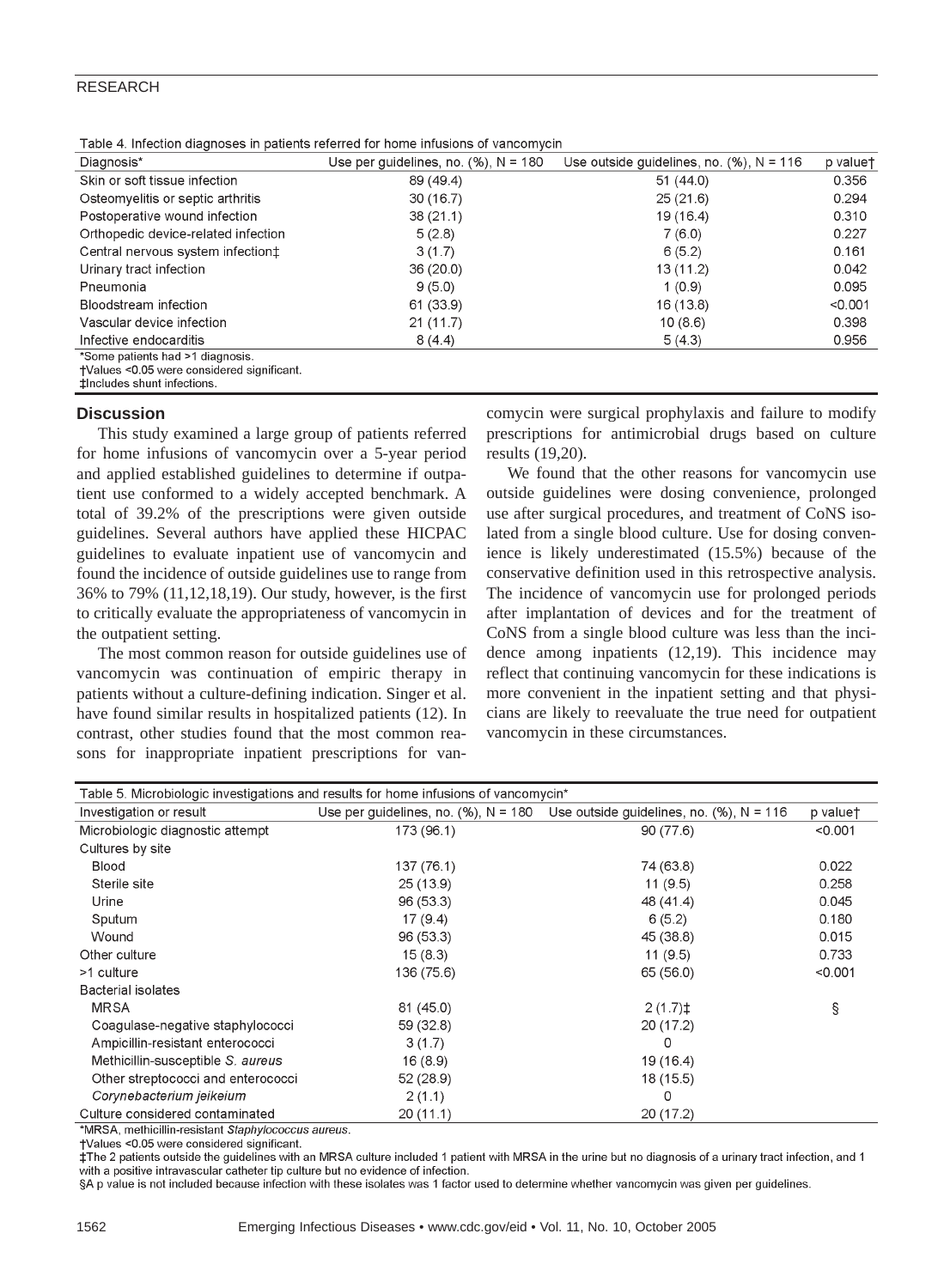#### RESEARCH

Table 4. Infection diagnoses in patients referred for home infusions of vancomycin

| Diagnosis*                          | Use per guidelines, no. $(\%)$ , N = 180 | Use outside guidelines, no. $(\%)$ , N = 116 | p valuet |
|-------------------------------------|------------------------------------------|----------------------------------------------|----------|
| Skin or soft tissue infection       | 89 (49.4)                                | 51(44.0)                                     | 0.356    |
| Osteomyelitis or septic arthritis   | 30(16.7)                                 | 25(21.6)                                     | 0.294    |
| Postoperative wound infection       | 38(21.1)                                 | 19 (16.4)                                    | 0.310    |
| Orthopedic device-related infection | 5(2.8)                                   | 7(6.0)                                       | 0.227    |
| Central nervous system infection‡   | 3(1.7)                                   | 6(5.2)                                       | 0.161    |
| Urinary tract infection             | 36(20.0)                                 | 13(11.2)                                     | 0.042    |
| Pneumonia                           | 9(5.0)                                   | 1(0.9)                                       | 0.095    |
| Bloodstream infection               | 61 (33.9)                                | 16 (13.8)                                    | < 0.001  |
| Vascular device infection           | 21(11.7)                                 | 10(8.6)                                      | 0.398    |
| Infective endocarditis              | 8(4.4)                                   | 5(4.3)                                       | 0.956    |
| *Some patients had >1 diagnosis.    |                                          |                                              |          |

†Values <0.05 were considered significant.

tincludes shunt infections.

# **Discussion**

This study examined a large group of patients referred for home infusions of vancomycin over a 5-year period and applied established guidelines to determine if outpatient use conformed to a widely accepted benchmark. A total of 39.2% of the prescriptions were given outside guidelines. Several authors have applied these HICPAC guidelines to evaluate inpatient use of vancomycin and found the incidence of outside guidelines use to range from 36% to 79% (11,12,18,19). Our study, however, is the first to critically evaluate the appropriateness of vancomycin in the outpatient setting.

The most common reason for outside guidelines use of vancomycin was continuation of empiric therapy in patients without a culture-defining indication. Singer et al. have found similar results in hospitalized patients (12). In contrast, other studies found that the most common reasons for inappropriate inpatient prescriptions for vancomycin were surgical prophylaxis and failure to modify prescriptions for antimicrobial drugs based on culture results (19,20).

We found that the other reasons for vancomycin use outside guidelines were dosing convenience, prolonged use after surgical procedures, and treatment of CoNS isolated from a single blood culture. Use for dosing convenience is likely underestimated (15.5%) because of the conservative definition used in this retrospective analysis. The incidence of vancomycin use for prolonged periods after implantation of devices and for the treatment of CoNS from a single blood culture was less than the incidence among inpatients (12,19). This incidence may reflect that continuing vancomycin for these indications is more convenient in the inpatient setting and that physicians are likely to reevaluate the true need for outpatient vancomycin in these circumstances.

| Table 5. Microbiologic investigations and results for home infusions of vancomycin* |            |                                                                                       |          |
|-------------------------------------------------------------------------------------|------------|---------------------------------------------------------------------------------------|----------|
| Investigation or result                                                             |            | Use per guidelines, no. $(\%)$ , N = 180 Use outside guidelines, no. $(\%)$ , N = 116 | p value† |
| Microbiologic diagnostic attempt                                                    | 173 (96.1) | 90(77.6)                                                                              | < 0.001  |
| Cultures by site                                                                    |            |                                                                                       |          |
| Blood                                                                               | 137 (76.1) | 74 (63.8)                                                                             | 0.022    |
| Sterile site                                                                        | 25 (13.9)  | 11(9.5)                                                                               | 0.258    |
| Urine                                                                               | 96(53.3)   | 48 (41.4)                                                                             | 0.045    |
| Sputum                                                                              | 17(9.4)    | 6(5.2)                                                                                | 0.180    |
| Wound                                                                               | 96(53.3)   | 45 (38.8)                                                                             | 0.015    |
| Other culture                                                                       | 15(8.3)    | 11(9.5)                                                                               | 0.733    |
| >1 culture                                                                          | 136 (75.6) | 65 (56.0)                                                                             | < 0.001  |
| <b>Bacterial isolates</b>                                                           |            |                                                                                       |          |
| <b>MRSA</b>                                                                         | 81 (45.0)  | $2(1.7)$ ‡                                                                            | ş        |
| Coagulase-negative staphylococci                                                    | 59 (32.8)  | 20(17.2)                                                                              |          |
| Ampicillin-resistant enterococci                                                    | 3(1.7)     | 0                                                                                     |          |
| Methicillin-susceptible S. aureus                                                   | 16(8.9)    | 19 (16.4)                                                                             |          |
| Other streptococci and enterococci                                                  | 52(28.9)   | 18 (15.5)                                                                             |          |
| Corynebacterium jeikeium                                                            | 2(1.1)     | 0                                                                                     |          |
| Culture considered contaminated                                                     | 20(11.1)   | 20(17.2)                                                                              |          |

\*MRSA, methicillin-resistant Staphylococcus aureus.

+Values <0.05 were considered significant.

#The 2 patients outside the guidelines with an MRSA culture included 1 patient with MRSA in the urine but no diagnosis of a urinary tract infection, and 1 with a positive intravascular catheter tip culture but no evidence of infection.

§A p value is not included because infection with these isolates was 1 factor used to determine whether vancomycin was given per guidelines.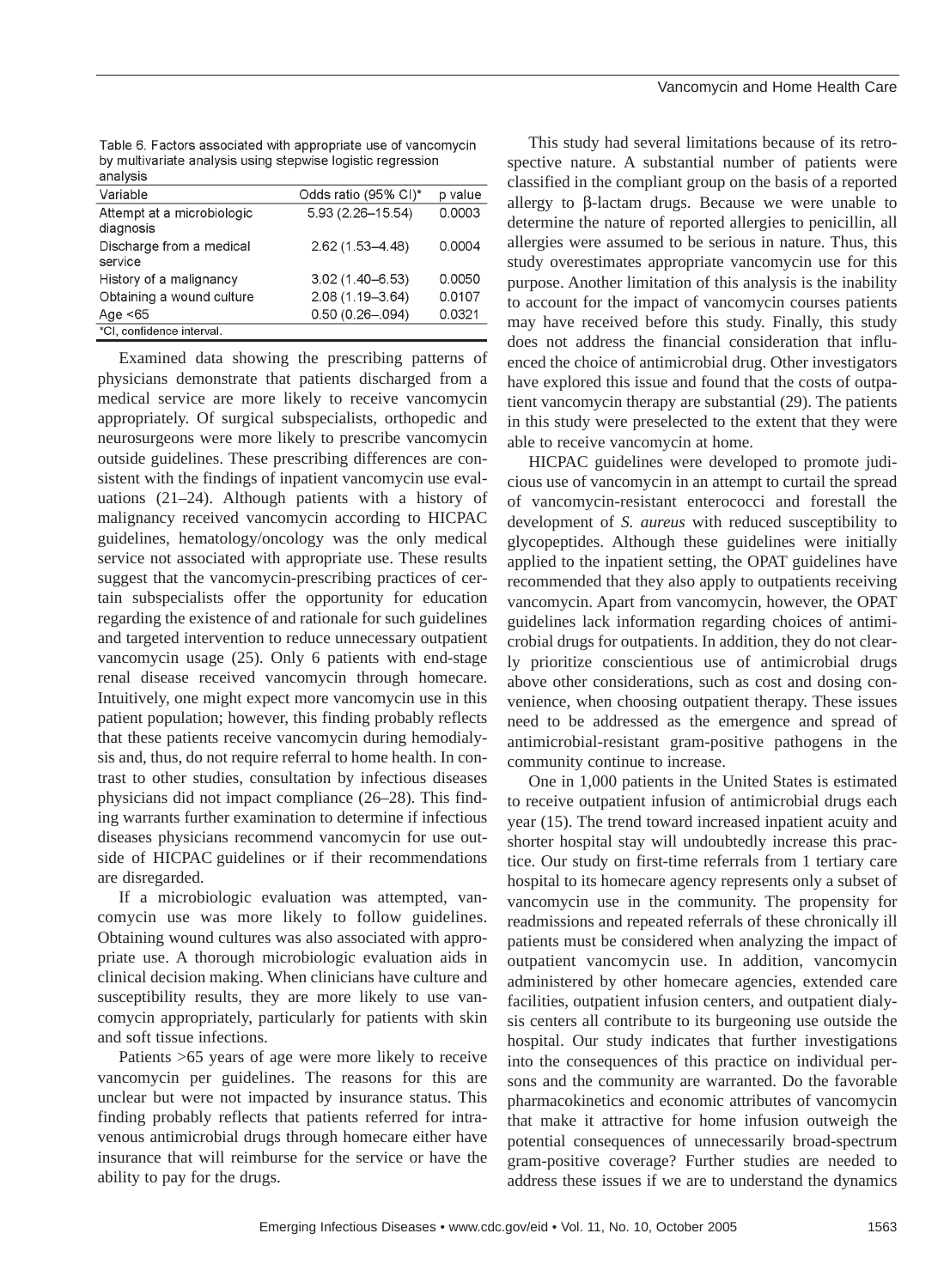Table 6. Factors associated with appropriate use of vancomycin by multivariate analysis using stepwise logistic regression analysis

| Variable                                | Odds ratio (95% CI)* | p value |
|-----------------------------------------|----------------------|---------|
| Attempt at a microbiologic<br>diagnosis | $5.93(2.26 - 15.54)$ | 0.0003  |
| Discharge from a medical<br>service     | $2.62(1.53 - 4.48)$  | 0.0004  |
| History of a malignancy                 | $3.02(1.40 - 6.53)$  | 0.0050  |
| Obtaining a wound culture               | 2.08 (1.19-3.64)     | 0.0107  |
| Age $< 65$                              | $0.50(0.26 - 0.094)$ | 0.0321  |
| *CI, confidence interval.               |                      |         |

Examined data showing the prescribing patterns of physicians demonstrate that patients discharged from a medical service are more likely to receive vancomycin appropriately. Of surgical subspecialists, orthopedic and neurosurgeons were more likely to prescribe vancomycin outside guidelines. These prescribing differences are consistent with the findings of inpatient vancomycin use evaluations (21–24). Although patients with a history of malignancy received vancomycin according to HICPAC guidelines, hematology/oncology was the only medical service not associated with appropriate use. These results suggest that the vancomycin-prescribing practices of certain subspecialists offer the opportunity for education regarding the existence of and rationale for such guidelines and targeted intervention to reduce unnecessary outpatient vancomycin usage (25). Only 6 patients with end-stage renal disease received vancomycin through homecare. Intuitively, one might expect more vancomycin use in this patient population; however, this finding probably reflects that these patients receive vancomycin during hemodialysis and, thus, do not require referral to home health. In contrast to other studies, consultation by infectious diseases physicians did not impact compliance (26–28). This finding warrants further examination to determine if infectious diseases physicians recommend vancomycin for use outside of HICPAC guidelines or if their recommendations are disregarded.

If a microbiologic evaluation was attempted, vancomycin use was more likely to follow guidelines. Obtaining wound cultures was also associated with appropriate use. A thorough microbiologic evaluation aids in clinical decision making. When clinicians have culture and susceptibility results, they are more likely to use vancomycin appropriately, particularly for patients with skin and soft tissue infections.

Patients >65 years of age were more likely to receive vancomycin per guidelines. The reasons for this are unclear but were not impacted by insurance status. This finding probably reflects that patients referred for intravenous antimicrobial drugs through homecare either have insurance that will reimburse for the service or have the ability to pay for the drugs.

This study had several limitations because of its retrospective nature. A substantial number of patients were classified in the compliant group on the basis of a reported allergy to β-lactam drugs. Because we were unable to determine the nature of reported allergies to penicillin, all allergies were assumed to be serious in nature. Thus, this study overestimates appropriate vancomycin use for this purpose. Another limitation of this analysis is the inability to account for the impact of vancomycin courses patients may have received before this study. Finally, this study does not address the financial consideration that influenced the choice of antimicrobial drug. Other investigators have explored this issue and found that the costs of outpatient vancomycin therapy are substantial (29). The patients in this study were preselected to the extent that they were able to receive vancomycin at home.

HICPAC guidelines were developed to promote judicious use of vancomycin in an attempt to curtail the spread of vancomycin-resistant enterococci and forestall the development of *S. aureus* with reduced susceptibility to glycopeptides. Although these guidelines were initially applied to the inpatient setting, the OPAT guidelines have recommended that they also apply to outpatients receiving vancomycin. Apart from vancomycin, however, the OPAT guidelines lack information regarding choices of antimicrobial drugs for outpatients. In addition, they do not clearly prioritize conscientious use of antimicrobial drugs above other considerations, such as cost and dosing convenience, when choosing outpatient therapy. These issues need to be addressed as the emergence and spread of antimicrobial-resistant gram-positive pathogens in the community continue to increase.

One in 1,000 patients in the United States is estimated to receive outpatient infusion of antimicrobial drugs each year (15). The trend toward increased inpatient acuity and shorter hospital stay will undoubtedly increase this practice. Our study on first-time referrals from 1 tertiary care hospital to its homecare agency represents only a subset of vancomycin use in the community. The propensity for readmissions and repeated referrals of these chronically ill patients must be considered when analyzing the impact of outpatient vancomycin use. In addition, vancomycin administered by other homecare agencies, extended care facilities, outpatient infusion centers, and outpatient dialysis centers all contribute to its burgeoning use outside the hospital. Our study indicates that further investigations into the consequences of this practice on individual persons and the community are warranted. Do the favorable pharmacokinetics and economic attributes of vancomycin that make it attractive for home infusion outweigh the potential consequences of unnecessarily broad-spectrum gram-positive coverage? Further studies are needed to address these issues if we are to understand the dynamics